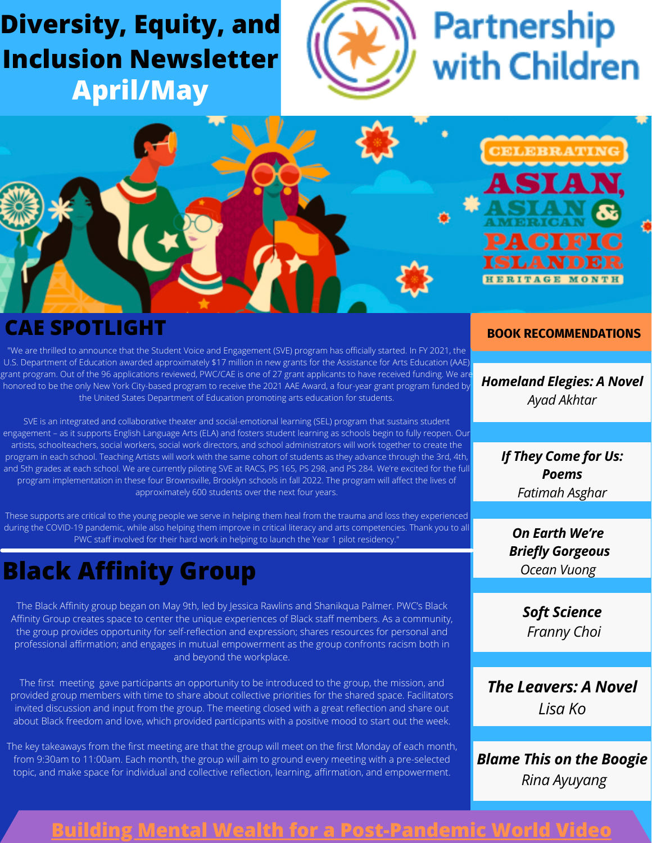# **Diversity, Equity, and Inclusion Newsletter April/May**



# **Partnership** with Children

LEBRATI

д



### **CAE SPOTLIGHT**

"We are thrilled to announce that the Student Voice and Engagement (SVE) program has officially started. In FY 2021, the U.S. Department of Education awarded approximately \$17 million in new grants for the Assistance for Arts Education (AAE) grant program. Out of the 96 applications reviewed, PWC/CAE is one of 27 grant applicants to have received funding. We are honored to be the only New York City-based program to receive the 2021 AAE Award, a four-year grant program funded by the United States Department of Education promoting arts education for students.

SVE is an integrated and collaborative theater and social-emotional learning (SEL) program that sustains student engagement – as it supports English Language Arts (ELA) and fosters student learning as schools begin to fully reopen. Our artists, schoolteachers, social workers, social work directors, and school administrators will work together to create the program in each school. Teaching Artists will work with the same cohort of students as they advance through the 3rd, 4th, and 5th grades at each school. We are currently piloting SVE at RACS, PS 165, PS 298, and PS 284. We're excited for the full program implementation in these four Brownsville, Brooklyn schools in fall 2022. The program will affect the lives of approximately 600 students over the next four years.

These supports are critical to the young people we serve in helping them heal from the trauma and loss they experienced during the COVID-19 pandemic, while also helping them improve in critical literacy and arts competencies. Thank you to all PWC staff involved for their hard work in helping to launch the Year 1 pilot residency."

# **Black Affinity Group**

The Black Affinity group began on May 9th, led by Jessica Rawlins and Shanikqua Palmer. PWC's Black Affinity Group creates space to center the unique experiences of Black staff members. As a community, the group provides opportunity for self-reflection and expression; shares resources for personal and professional affirmation; and engages in mutual empowerment as the group confronts racism both in and beyond the workplace.

The first meeting gave participants an opportunity to be introduced to the group, the mission, and provided group members with time to share about collective priorities for the shared space. Facilitators invited discussion and input from the group. The meeting closed with a great reflection and share out about Black freedom and love, which provided participants with a positive mood to start out the week.

The key takeaways from the first meeting are that the group will meet on the first Monday of each month, from 9:30am to 11:00am. Each month, the group will aim to ground every meeting with a pre-selected topic, and make space for individual and collective reflection, learning, affirmation, and empowerment.

#### **BOOK RECOMMENDATIONS**

*Homeland Elegies: A Novel Ayad Akhtar*

> *If They Come for Us: Poems Fatimah Asghar*

*On Earth We're Briefly Gorgeous Ocean Vuong*

> *Soft Science Franny Choi*

*The Leavers: A Novel Lisa Ko*

*Blame This on the Boogie Rina Ayuyang*

### **[Building Mental Wealth for a Post-Pandemic World Video](https://buildingmentalwealthforapost-p.splashthat.com/?stage=5929320)**